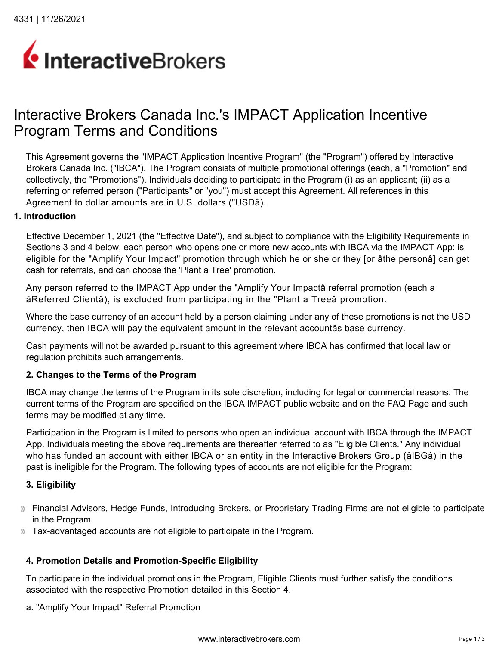# InteractiveBrokers

# Interactive Brokers Canada Inc.'s IMPACT Application Incentive Program Terms and Conditions

This Agreement governs the "IMPACT Application Incentive Program" (the "Program") offered by Interactive Brokers Canada Inc. ("IBCA"). The Program consists of multiple promotional offerings (each, a "Promotion" and collectively, the "Promotions"). Individuals deciding to participate in the Program (i) as an applicant; (ii) as a referring or referred person ("Participants" or "you") must accept this Agreement. All references in this Agreement to dollar amounts are in U.S. dollars ("USDâ).

#### **1. Introduction**

Effective December 1, 2021 (the "Effective Date"), and subject to compliance with the Eligibility Requirements in Sections 3 and 4 below, each person who opens one or more new accounts with IBCA via the IMPACT App: is eligible for the "Amplify Your Impact" promotion through which he or she or they [or âthe personâ] can get cash for referrals, and can choose the 'Plant a Tree' promotion.

Any person referred to the IMPACT App under the "Amplify Your Impactâ referral promotion (each a âReferred Clientâ), is excluded from participating in the "Plant a Treeâ promotion.

Where the base currency of an account held by a person claiming under any of these promotions is not the USD currency, then IBCA will pay the equivalent amount in the relevant accountâs base currency.

Cash payments will not be awarded pursuant to this agreement where IBCA has confirmed that local law or regulation prohibits such arrangements.

#### **2. Changes to the Terms of the Program**

IBCA may change the terms of the Program in its sole discretion, including for legal or commercial reasons. The current terms of the Program are specified on the IBCA IMPACT public website and on the FAQ Page and such terms may be modified at any time.

Participation in the Program is limited to persons who open an individual account with IBCA through the IMPACT App. Individuals meeting the above requirements are thereafter referred to as "Eligible Clients." Any individual who has funded an account with either IBCA or an entity in the Interactive Brokers Group (âIBGâ) in the past is ineligible for the Program. The following types of accounts are not eligible for the Program:

#### **3. Eligibility**

- Financial Advisors, Hedge Funds, Introducing Brokers, or Proprietary Trading Firms are not eligible to participate in the Program.
- Tax-advantaged accounts are not eligible to participate in the Program.

#### **4. Promotion Details and Promotion-Specific Eligibility**

To participate in the individual promotions in the Program, Eligible Clients must further satisfy the conditions associated with the respective Promotion detailed in this Section 4.

a. "Amplify Your Impact" Referral Promotion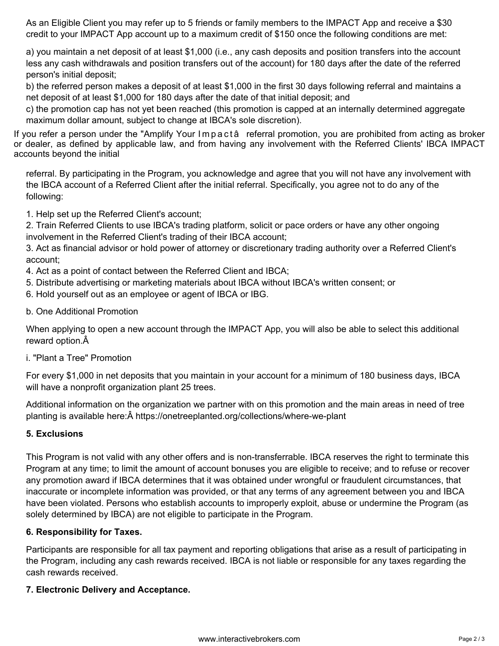As an Eligible Client you may refer up to 5 friends or family members to the IMPACT App and receive a \$30 credit to your IMPACT App account up to a maximum credit of \$150 once the following conditions are met:

a) you maintain a net deposit of at least \$1,000 (i.e., any cash deposits and position transfers into the account less any cash withdrawals and position transfers out of the account) for 180 days after the date of the referred person's initial deposit;

b) the referred person makes a deposit of at least \$1,000 in the first 30 days following referral and maintains a net deposit of at least \$1,000 for 180 days after the date of that initial deposit; and

c) the promotion cap has not yet been reached (this promotion is capped at an internally determined aggregate maximum dollar amount, subject to change at IBCA's sole discretion).

If you refer a person under the "Amplify Your Impactâ referral promotion, you are prohibited from acting as broker or dealer, as defined by applicable law, and from having any involvement with the Referred Clients' IBCA IMPACT accounts beyond the initial

referral. By participating in the Program, you acknowledge and agree that you will not have any involvement with the IBCA account of a Referred Client after the initial referral. Specifically, you agree not to do any of the following:

1. Help set up the Referred Client's account;

2. Train Referred Clients to use IBCA's trading platform, solicit or pace orders or have any other ongoing involvement in the Referred Client's trading of their IBCA account;

3. Act as financial advisor or hold power of attorney or discretionary trading authority over a Referred Client's account;

- 4. Act as a point of contact between the Referred Client and IBCA;
- 5. Distribute advertising or marketing materials about IBCA without IBCA's written consent; or
- 6. Hold yourself out as an employee or agent of IBCA or IBG.
- b. One Additional Promotion

When applying to open a new account through the IMPACT App, you will also be able to select this additional reward option.

i. "Plant a Tree" Promotion

For every \$1,000 in net deposits that you maintain in your account for a minimum of 180 business days, IBCA will have a nonprofit organization plant 25 trees.

Additional information on the organization we partner with on this promotion and the main areas in need of tree planting is available here:Â <https://onetreeplanted.org/collections/where-we-plant>

# **5. Exclusions**

This Program is not valid with any other offers and is non-transferrable. IBCA reserves the right to terminate this Program at any time; to limit the amount of account bonuses you are eligible to receive; and to refuse or recover any promotion award if IBCA determines that it was obtained under wrongful or fraudulent circumstances, that inaccurate or incomplete information was provided, or that any terms of any agreement between you and IBCA have been violated. Persons who establish accounts to improperly exploit, abuse or undermine the Program (as solely determined by IBCA) are not eligible to participate in the Program.

#### **6. Responsibility for Taxes.**

Participants are responsible for all tax payment and reporting obligations that arise as a result of participating in the Program, including any cash rewards received. IBCA is not liable or responsible for any taxes regarding the cash rewards received.

#### **7. Electronic Delivery and Acceptance.**